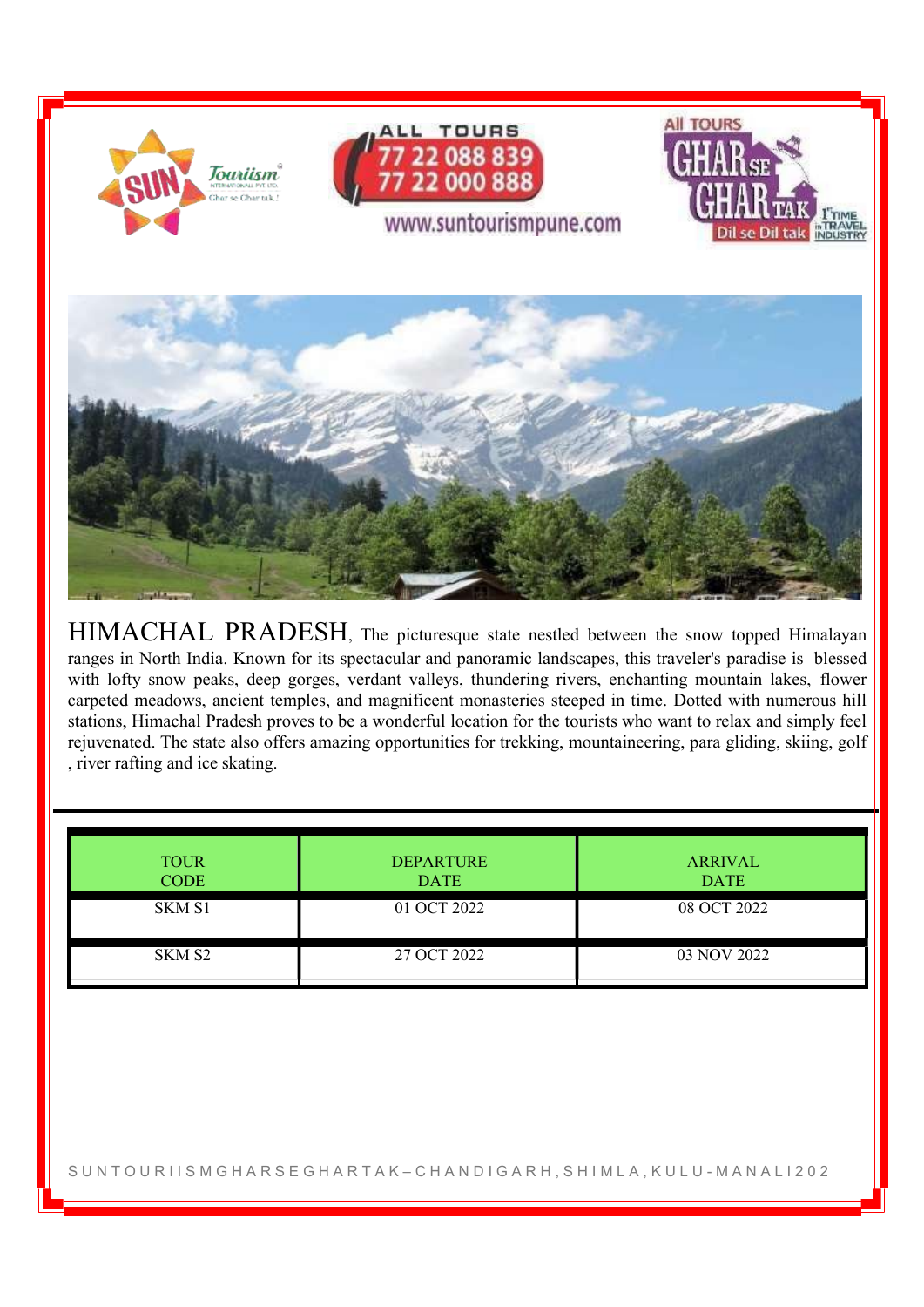

HIMACHAL PRADESH, The picturesque state nestled between the snow topped Himalayan ranges in North India. Known for its spectacular and panoramic landscapes, this traveler's paradise is blessed with lofty snow peaks, deep gorges, verdant valleys, thundering rivers, enchanting mountain lakes, flower carpeted meadows, ancient temples, and magnificent monasteries steeped in time. Dotted with numerous hill stations, Himachal Pradesh proves to be a wonderful location for the tourists who want to relax and simply feel rejuvenated. The state also offers amazing opportunities for trekking, mountaineering, para gliding, skiing, golf , river rafting and ice skating.

| <b>TOUR</b><br><b>CODE</b> | <b>DEPARTURE</b><br><b>DATE</b> | <b>ARRIVAL</b><br><b>DATE</b> |
|----------------------------|---------------------------------|-------------------------------|
| SKM S1                     | 01 OCT 2022                     | 08 OCT 2022                   |
| SKM S <sub>2</sub>         | 27 OCT 2022                     | 03 NOV 2022                   |

S UN TOUR I I S M G H A R S E G H A R T A K – C H A N D I G A R H , S H I M L A , K U L U - M A N A L I 202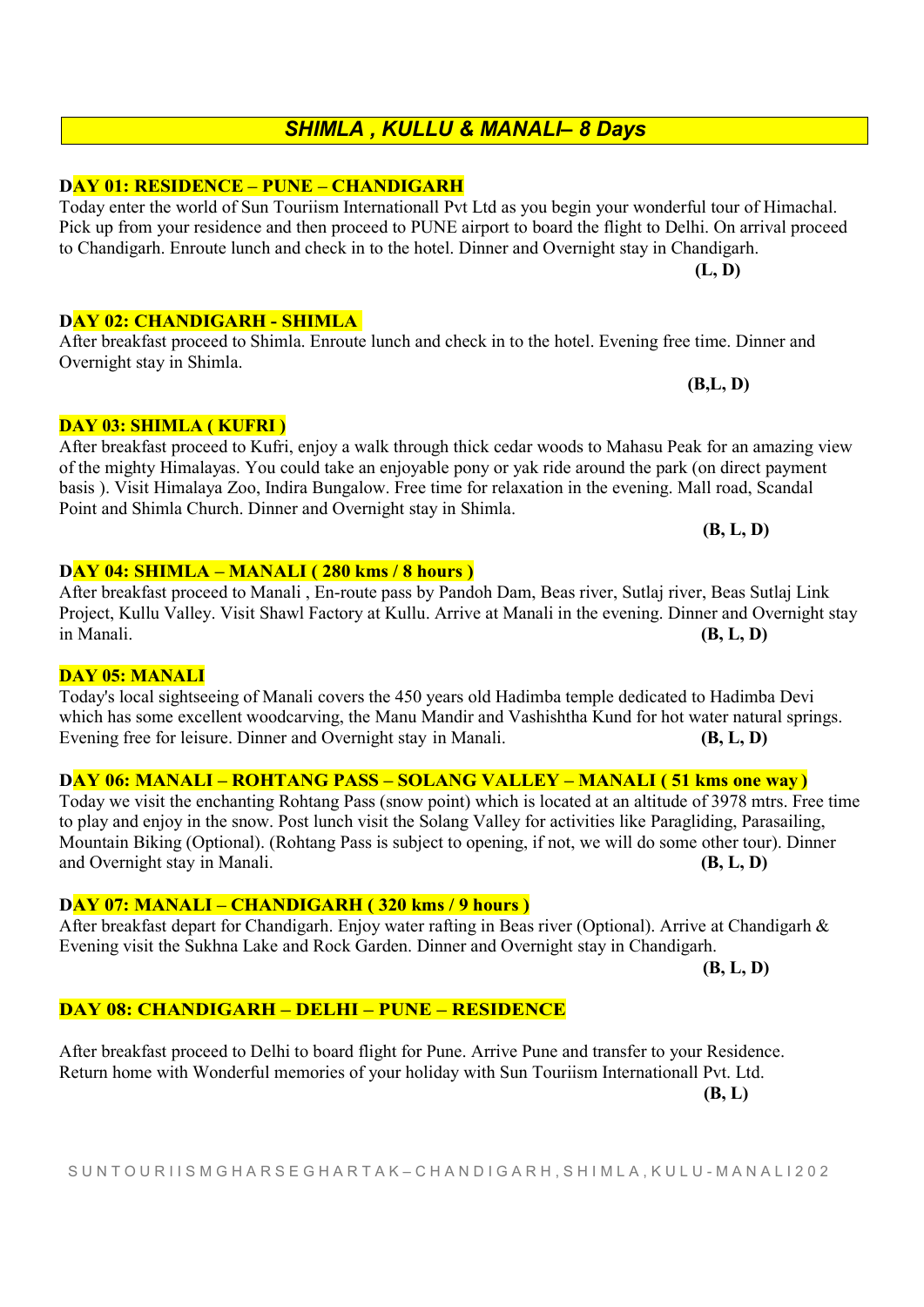## S U N T O U R I I S M G H A R S E G H A R T A K – C H A N D I G A R H , S H I M L A , K U L U - M A N A L I 2 0 2

# SHIMLA , KULLU & MANALI– 8 Days

Today enter the world of Sun Touriism Internationall Pvt Ltd as you begin your wonderful tour of Himachal. Pick up from your residence and then proceed to PUNE airport to board the flight to Delhi. On arrival proceed

After breakfast proceed to Shimla. Enroute lunch and check in to the hotel. Evening free time. Dinner and

to Chandigarh. Enroute lunch and check in to the hotel. Dinner and Overnight stay in Chandigarh.

#### DAY 01: RESIDENCE – PUNE – CHANDIGARH

DAY 04: SHIMLA – MANALI ( 280 kms / 8 hours )

# DAY 02: CHANDIGARH - SHIMLA

## DAY 03: SHIMLA ( KUFRI )

Overnight stay in Shimla.

After breakfast proceed to Kufri, enjoy a walk through thick cedar woods to Mahasu Peak for an amazing view of the mighty Himalayas. You could take an enjoyable pony or yak ride around the park (on direct payment basis ). Visit Himalaya Zoo, Indira Bungalow. Free time for relaxation in the evening. Mall road, Scandal Point and Shimla Church. Dinner and Overnight stay in Shimla.

After breakfast proceed to Manali , En-route pass by Pandoh Dam, Beas river, Sutlaj river, Beas Sutlaj Link Project, Kullu Valley. Visit Shawl Factory at Kullu. Arrive at Manali in the evening. Dinner and Overnight stay in Manali.  $(B, L, D)$ 

#### DAY 05: MANALI

# Today's local sightseeing of Manali covers the 450 years old Hadimba temple dedicated to Hadimba Devi which has some excellent woodcarving, the Manu Mandir and Vashishtha Kund for hot water natural springs. Evening free for leisure. Dinner and Overnight stay in Manali. (B, L, D)

# DAY 06: MANALI – ROHTANG PASS – SOLANG VALLEY – MANALI ( 51 kms one way )

Today we visit the enchanting Rohtang Pass (snow point) which is located at an altitude of 3978 mtrs. Free time to play and enjoy in the snow. Post lunch visit the Solang Valley for activities like Paragliding, Parasailing, Mountain Biking (Optional). (Rohtang Pass is subject to opening, if not, we will do some other tour). Dinner and Overnight stay in Manali. (B, L, D)

DAY 07: MANALI – CHANDIGARH ( 320 kms / 9 hours )

After breakfast depart for Chandigarh. Enjoy water rafting in Beas river (Optional). Arrive at Chandigarh & Evening visit the Sukhna Lake and Rock Garden. Dinner and Overnight stay in Chandigarh.

(B, L, D)

#### DAY 08: CHANDIGARH – DELHI – PUNE – RESIDENCE

After breakfast proceed to Delhi to board flight for Pune. Arrive Pune and transfer to your Residence. Return home with Wonderful memories of your holiday with Sun Touriism Internationall Pvt. Ltd.

(B, L)

(B, L, D)

(L, D)

(B,L, D)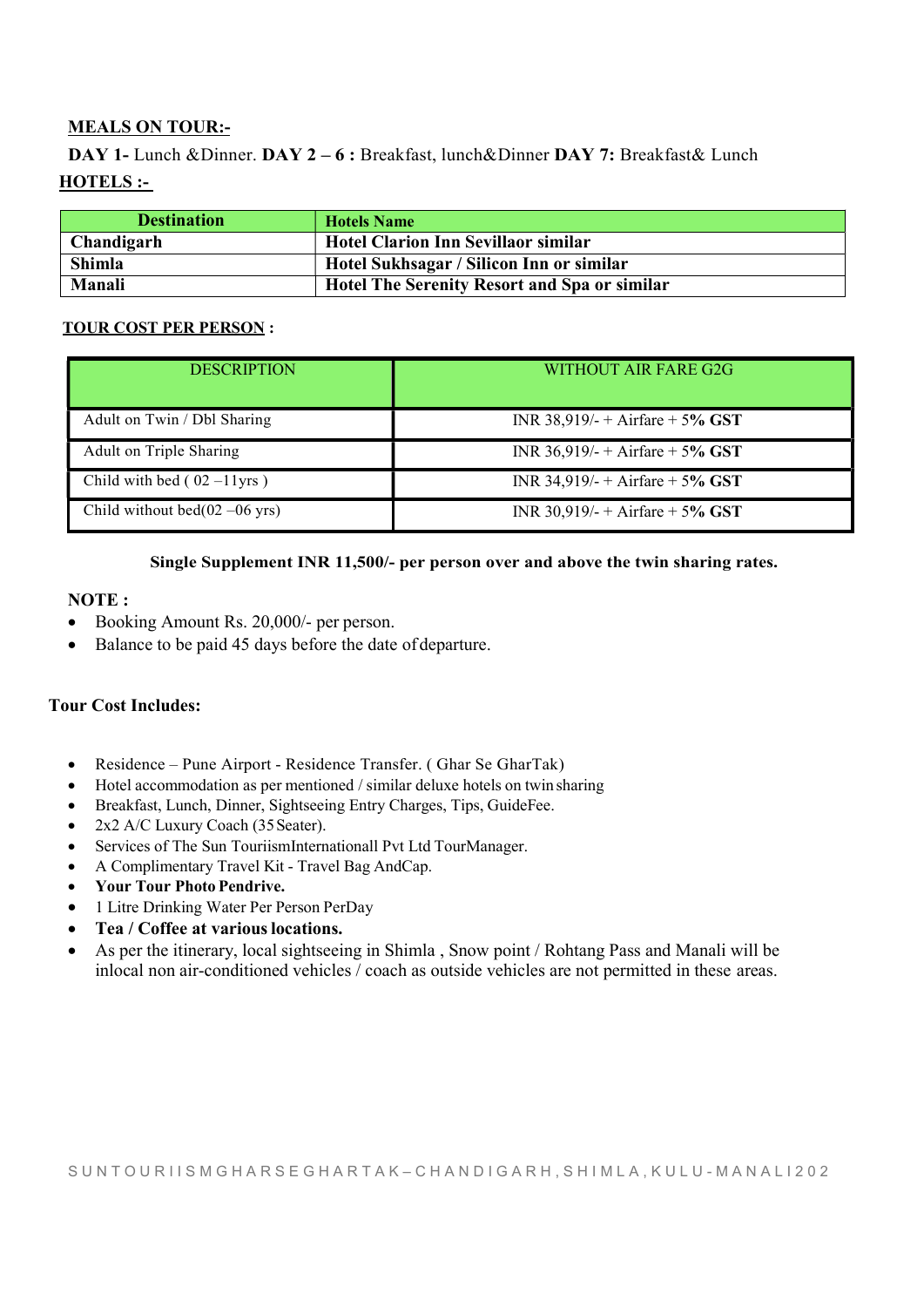# MEALS ON TOUR:-

DAY 1- Lunch &Dinner. DAY 2-6 : Breakfast, lunch&Dinner DAY 7: Breakfast& Lunch HOTELS :-

| <b>Destination</b> | <b>Hotels Name</b>                                  |
|--------------------|-----------------------------------------------------|
| Chandigarh         | <b>Hotel Clarion Inn Sevillaor similar</b>          |
| <b>Shimla</b>      | Hotel Sukhsagar / Silicon Inn or similar            |
| Manali             | <b>Hotel The Serenity Resort and Spa or similar</b> |

#### TOUR COST PER PERSON :

| <b>DESCRIPTION</b>                       | WITHOUT AIR FARE G2G              |
|------------------------------------------|-----------------------------------|
| Adult on Twin / Dbl Sharing              | INR 38,919/- + Airfare + 5% GST   |
| Adult on Triple Sharing                  | INR $36,919/- +$ Airfare + 5% GST |
| Child with bed $(02-11)$ yrs)            | INR 34,919/- + Airfare + 5% GST   |
| Child without bed $(02 -06 \text{ yrs})$ | INR 30,919/- + Airfare + 5% GST   |

#### Single Supplement INR 11,500/- per person over and above the twin sharing rates.

#### NOTE :

- Booking Amount Rs. 20,000/- per person.
- Balance to be paid 45 days before the date of departure.

# Tour Cost Includes:

- Residence Pune Airport Residence Transfer. ( Ghar Se GharTak)
- Hotel accommodation as per mentioned / similar deluxe hotels on twin sharing
- Breakfast, Lunch, Dinner, Sightseeing Entry Charges, Tips, GuideFee.
- 2x2 A/C Luxury Coach (35 Seater).
- Services of The Sun TouriismInternationall Pvt Ltd TourManager.
- A Complimentary Travel Kit Travel Bag AndCap.
- Your Tour Photo Pendrive.
- 1 Litre Drinking Water Per Person PerDay
- Tea / Coffee at various locations.
- As per the itinerary, local sightseeing in Shimla , Snow point / Rohtang Pass and Manali will be inlocal non air-conditioned vehicles / coach as outside vehicles are not permitted in these areas.